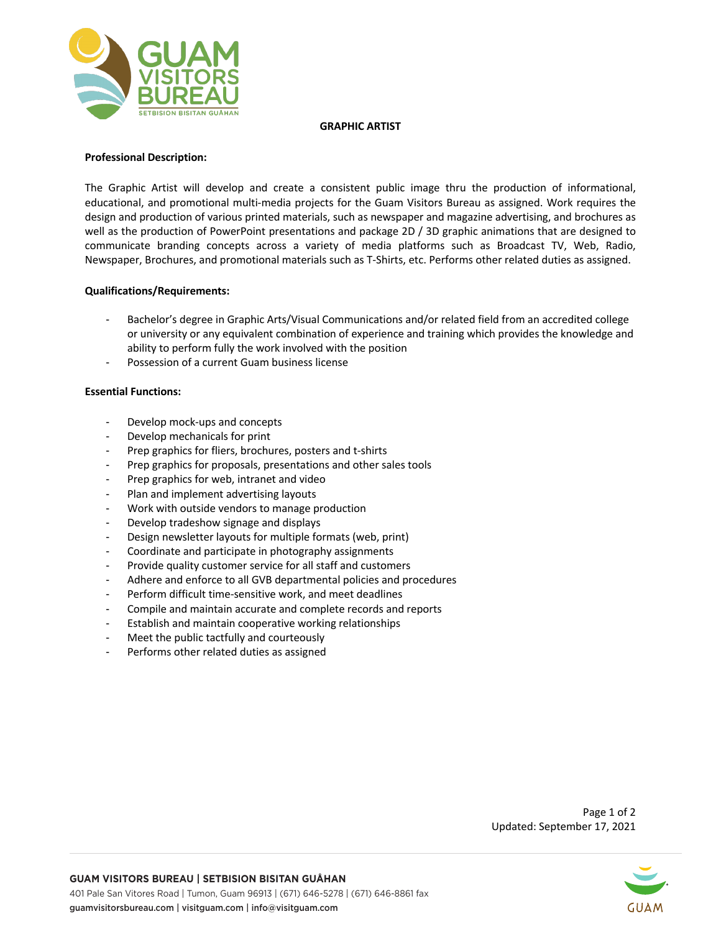

### **GRAPHIC ARTIST**

# **Professional Description:**

The Graphic Artist will develop and create a consistent public image thru the production of informational, educational, and promotional multi-media projects for the Guam Visitors Bureau as assigned. Work requires the design and production of various printed materials, such as newspaper and magazine advertising, and brochures as well as the production of PowerPoint presentations and package 2D / 3D graphic animations that are designed to communicate branding concepts across a variety of media platforms such as Broadcast TV, Web, Radio, Newspaper, Brochures, and promotional materials such as T-Shirts, etc. Performs other related duties as assigned.

## **Qualifications/Requirements:**

- Bachelor's degree in Graphic Arts/Visual Communications and/or related field from an accredited college or university or any equivalent combination of experience and training which provides the knowledge and ability to perform fully the work involved with the position
- Possession of a current Guam business license

## **Essential Functions:**

- Develop mock-ups and concepts
- Develop mechanicals for print
- Prep graphics for fliers, brochures, posters and t-shirts
- Prep graphics for proposals, presentations and other sales tools
- Prep graphics for web, intranet and video
- Plan and implement advertising layouts
- Work with outside vendors to manage production
- Develop tradeshow signage and displays
- Design newsletter layouts for multiple formats (web, print)
- Coordinate and participate in photography assignments
- Provide quality customer service for all staff and customers
- Adhere and enforce to all GVB departmental policies and procedures
- Perform difficult time-sensitive work, and meet deadlines
- Compile and maintain accurate and complete records and reports
- Establish and maintain cooperative working relationships
- Meet the public tactfully and courteously
- Performs other related duties as assigned



guamvisitorsbureau.com | visitguam.com | info@visitguam.com